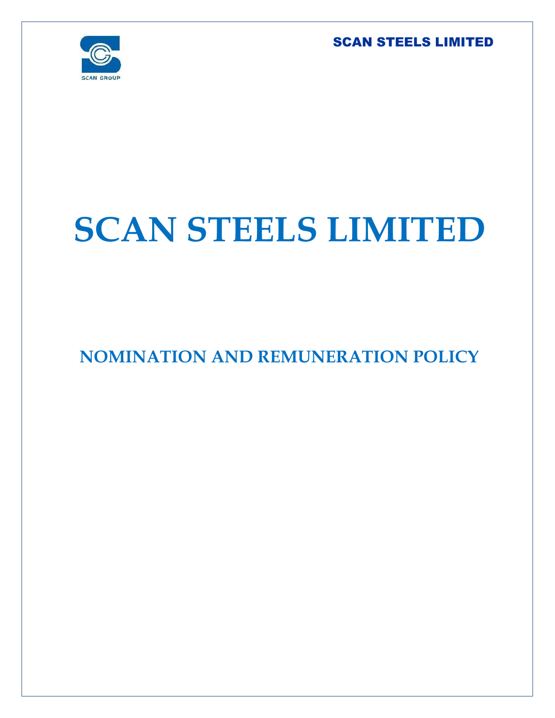

# **SCAN STEELS LIMITED**

# **NOMINATION AND REMUNERATION POLICY**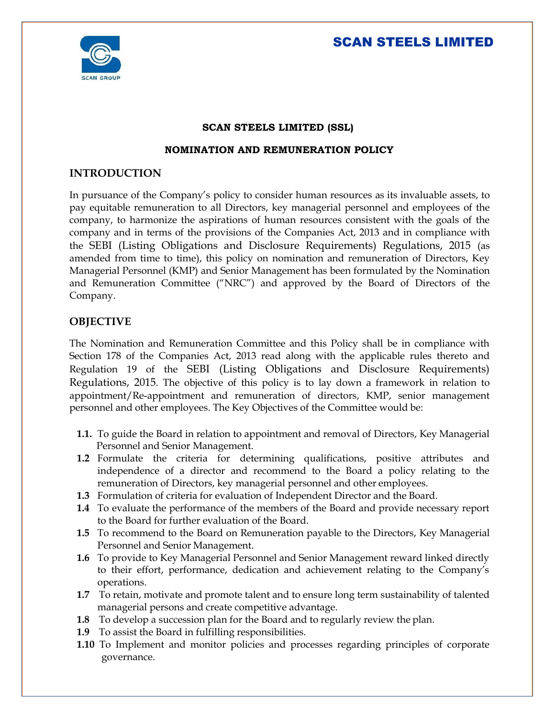

#### **SCAN STEELS LIMITED (SSL)**

#### **NOMINATION AND REMUNERATION POLICY**

#### **INTRODUCTION**

In pursuance of the Company's policy to consider human resources as its invaluable assets, to pay equitable remuneration to all Directors, key managerial personnel and employees of the company, to harmonize the aspirations of human resources consistent with the goals of the company and in terms of the provisions of the Companies Act, 2013 and in compliance with the SEBI (Listing Obligations and Disclosure Requirements) Regulations, 2015 (as amended from time to time), this policy on nomination and remuneration of Directors, Key Managerial Personnel (KMP) and Senior Management has been formulated by the Nomination and Remuneration Committee ("NRC") and approved by the Board of Directors of the Company.

#### **OBJECTIVE**

The Nomination and Remuneration Committee and this Policy shall be in compliance with Section 178 of the Companies Act, 2013 read along with the applicable rules thereto and Regulation 19 of the SEBI (Listing Obligations and Disclosure Requirements) Regulations, 2015. The objective of this policy is to lay down a framework in relation to appointment/Re-appointment and remuneration of directors, KMP, senior management personnel and other employees. The Key Objectives of the Committee would be:

- **1.1.** To guide the Board in relation to appointment and removal of Directors, Key Managerial Personnel and Senior Management.
- **1.2** Formulate the criteria for determining qualifications, positive attributes and independence of a director and recommend to the Board a policy relating to the remuneration of Directors, key managerial personnel and other employees.
- **1.3** Formulation of criteria for evaluation of Independent Director and the Board.
- **1.4** To evaluate the performance of the members of the Board and provide necessary report to the Board for further evaluation of the Board.
- **1.5** To recommend to the Board on Remuneration payable to the Directors, Key Managerial Personnel and Senior Management.
- **1.6** To provide to Key Managerial Personnel and Senior Management reward linked directly to their effort, performance, dedication and achievement relating to the Company's operations.
- **1.7** To retain, motivate and promote talent and to ensure long term sustainability of talented managerial persons and create competitive advantage.
- **1.8** To develop a succession plan for the Board and to regularly review the plan.
- **1.9** To assist the Board in fulfilling responsibilities.
- **1.10** To Implement and monitor policies and processes regarding principles of corporate governance.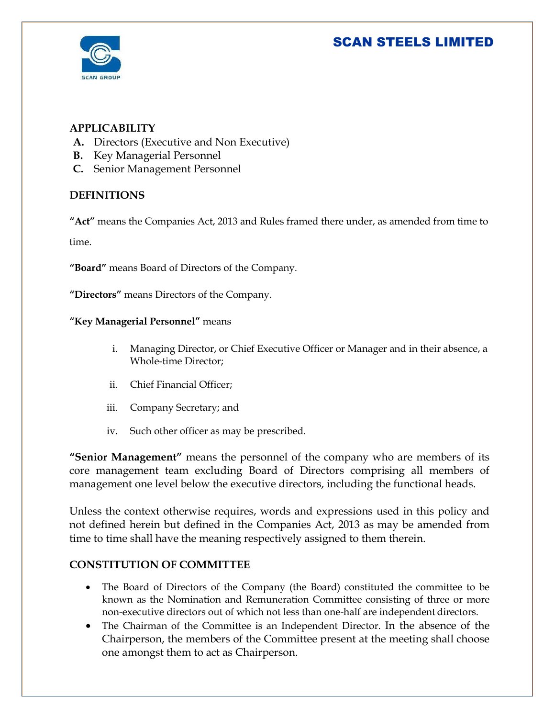

#### **APPLICABILITY**

- **A.** Directors (Executive and Non Executive)
- **B.** Key Managerial Personnel
- **C.** Senior Management Personnel

#### **DEFINITIONS**

**"Act"** means the Companies Act, 2013 and Rules framed there under, as amended from time to time.

**"Board"** means Board of Directors of the Company.

**"Directors"** means Directors of the Company.

#### **"Key Managerial Personnel"** means

- i. Managing Director, or Chief Executive Officer or Manager and in their absence, a Whole-time Director;
- ii. Chief Financial Officer;
- iii. Company Secretary; and
- iv. Such other officer as may be prescribed.

**"Senior Management"** means the personnel of the company who are members of its core management team excluding Board of Directors comprising all members of management one level below the executive directors, including the functional heads.

Unless the context otherwise requires, words and expressions used in this policy and not defined herein but defined in the Companies Act, 2013 as may be amended from time to time shall have the meaning respectively assigned to them therein.

#### **CONSTITUTION OF COMMITTEE**

- The Board of Directors of the Company (the Board) constituted the committee to be known as the Nomination and Remuneration Committee consisting of three or more non-executive directors out of which not less than one-half are independent directors.
- The Chairman of the Committee is an Independent Director. In the absence of the Chairperson, the members of the Committee present at the meeting shall choose one amongst them to act as Chairperson.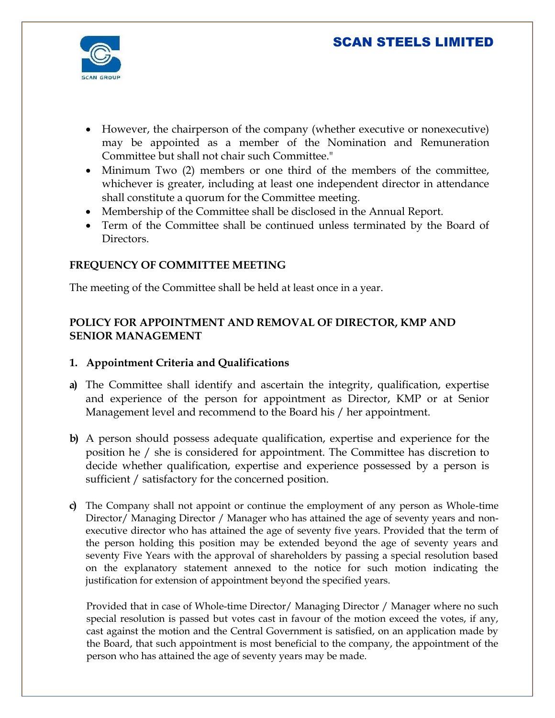

- However, the chairperson of the company (whether executive or nonexecutive) may be appointed as a member of the Nomination and Remuneration Committee but shall not chair such Committee."
- Minimum Two (2) members or one third of the members of the committee, whichever is greater, including at least one independent director in attendance shall constitute a quorum for the Committee meeting.
- Membership of the Committee shall be disclosed in the Annual Report.
- Term of the Committee shall be continued unless terminated by the Board of Directors.

#### **FREQUENCY OF COMMITTEE MEETING**

The meeting of the Committee shall be held at least once in a year.

#### **POLICY FOR APPOINTMENT AND REMOVAL OF DIRECTOR, KMP AND SENIOR MANAGEMENT**

#### **1. Appointment Criteria and Qualifications**

- **a)** The Committee shall identify and ascertain the integrity, qualification, expertise and experience of the person for appointment as Director, KMP or at Senior Management level and recommend to the Board his / her appointment.
- **b)** A person should possess adequate qualification, expertise and experience for the position he / she is considered for appointment. The Committee has discretion to decide whether qualification, expertise and experience possessed by a person is sufficient / satisfactory for the concerned position.
- **c)** The Company shall not appoint or continue the employment of any person as Whole-time Director/ Managing Director / Manager who has attained the age of seventy years and nonexecutive director who has attained the age of seventy five years. Provided that the term of the person holding this position may be extended beyond the age of seventy years and seventy Five Years with the approval of shareholders by passing a special resolution based on the explanatory statement annexed to the notice for such motion indicating the justification for extension of appointment beyond the specified years.

Provided that in case of Whole-time Director/ Managing Director / Manager where no such special resolution is passed but votes cast in favour of the motion exceed the votes, if any, cast against the motion and the Central Government is satisfied, on an application made by the Board, that such appointment is most beneficial to the company, the appointment of the person who has attained the age of seventy years may be made.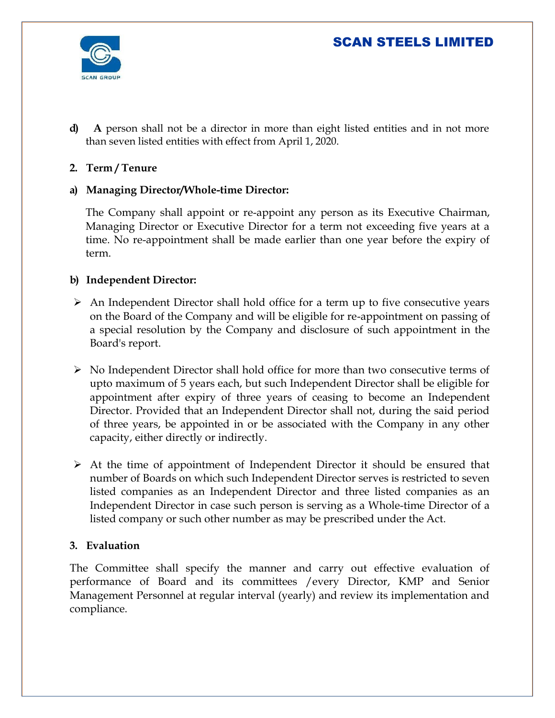

**d) A** person shall not be a director in more than eight listed entities and in not more than seven listed entities with effect from April 1, 2020.

#### **2. Term / Tenure**

#### **a) Managing Director/Whole-time Director:**

The Company shall appoint or re-appoint any person as its Executive Chairman, Managing Director or Executive Director for a term not exceeding five years at a time. No re-appointment shall be made earlier than one year before the expiry of term.

#### **b) Independent Director:**

- $\triangleright$  An Independent Director shall hold office for a term up to five consecutive years on the Board of the Company and will be eligible for re-appointment on passing of a special resolution by the Company and disclosure of such appointment in the Board's report.
- $\triangleright$  No Independent Director shall hold office for more than two consecutive terms of upto maximum of 5 years each, but such Independent Director shall be eligible for appointment after expiry of three years of ceasing to become an Independent Director. Provided that an Independent Director shall not, during the said period of three years, be appointed in or be associated with the Company in any other capacity, either directly or indirectly.
- $\triangleright$  At the time of appointment of Independent Director it should be ensured that number of Boards on which such Independent Director serves is restricted to seven listed companies as an Independent Director and three listed companies as an Independent Director in case such person is serving as a Whole-time Director of a listed company or such other number as may be prescribed under the Act.

#### **3. Evaluation**

The Committee shall specify the manner and carry out effective evaluation of performance of Board and its committees /every Director, KMP and Senior Management Personnel at regular interval (yearly) and review its implementation and compliance.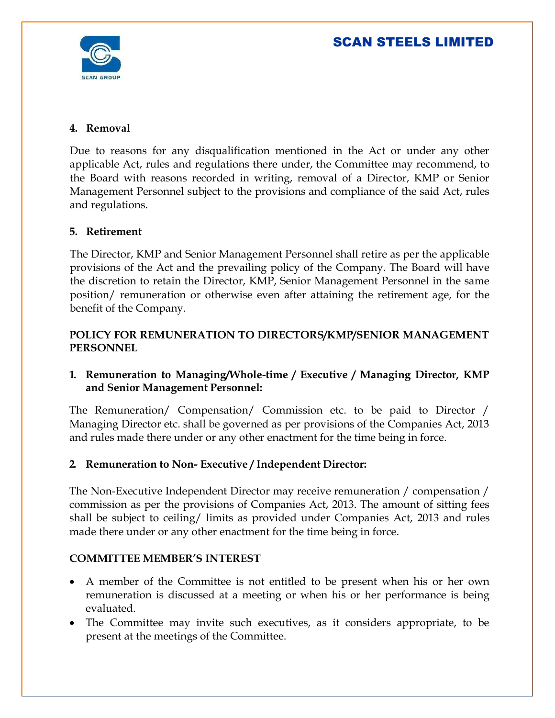

#### **4. Removal**

Due to reasons for any disqualification mentioned in the Act or under any other applicable Act, rules and regulations there under, the Committee may recommend, to the Board with reasons recorded in writing, removal of a Director, KMP or Senior Management Personnel subject to the provisions and compliance of the said Act, rules and regulations.

#### **5. Retirement**

The Director, KMP and Senior Management Personnel shall retire as per the applicable provisions of the Act and the prevailing policy of the Company. The Board will have the discretion to retain the Director, KMP, Senior Management Personnel in the same position/ remuneration or otherwise even after attaining the retirement age, for the benefit of the Company.

#### **POLICY FOR REMUNERATION TO DIRECTORS/KMP/SENIOR MANAGEMENT PERSONNEL**

#### **1. Remuneration to Managing/Whole-time / Executive / Managing Director, KMP and Senior Management Personnel:**

The Remuneration/ Compensation/ Commission etc. to be paid to Director / Managing Director etc. shall be governed as per provisions of the Companies Act, 2013 and rules made there under or any other enactment for the time being in force.

#### **2. Remuneration to Non- Executive / Independent Director:**

The Non-Executive Independent Director may receive remuneration / compensation / commission as per the provisions of Companies Act, 2013. The amount of sitting fees shall be subject to ceiling/ limits as provided under Companies Act, 2013 and rules made there under or any other enactment for the time being in force.

#### **COMMITTEE MEMBER'S INTEREST**

- A member of the Committee is not entitled to be present when his or her own remuneration is discussed at a meeting or when his or her performance is being evaluated.
- The Committee may invite such executives, as it considers appropriate, to be present at the meetings of the Committee.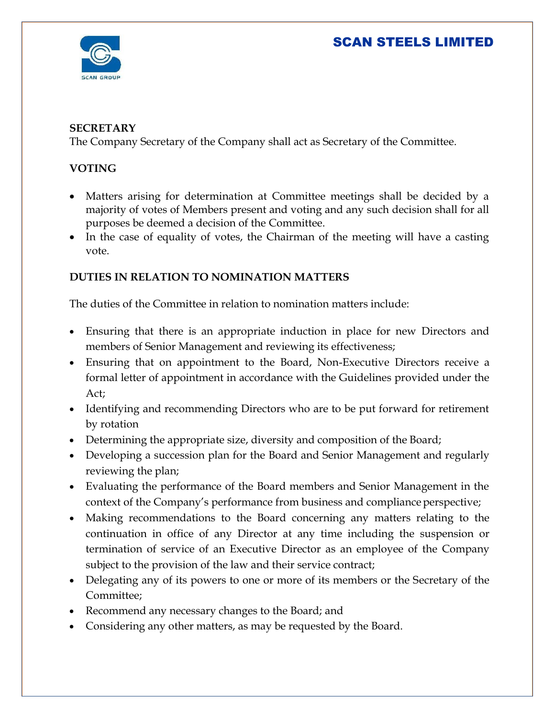

#### **SECRETARY**

The Company Secretary of the Company shall act as Secretary of the Committee.

#### **VOTING**

- Matters arising for determination at Committee meetings shall be decided by a majority of votes of Members present and voting and any such decision shall for all purposes be deemed a decision of the Committee.
- In the case of equality of votes, the Chairman of the meeting will have a casting vote.

#### **DUTIES IN RELATION TO NOMINATION MATTERS**

The duties of the Committee in relation to nomination matters include:

- Ensuring that there is an appropriate induction in place for new Directors and members of Senior Management and reviewing its effectiveness;
- Ensuring that on appointment to the Board, Non-Executive Directors receive a formal letter of appointment in accordance with the Guidelines provided under the Act;
- Identifying and recommending Directors who are to be put forward for retirement by rotation
- Determining the appropriate size, diversity and composition of the Board;
- Developing a succession plan for the Board and Senior Management and regularly reviewing the plan;
- Evaluating the performance of the Board members and Senior Management in the context of the Company's performance from business and compliance perspective;
- Making recommendations to the Board concerning any matters relating to the continuation in office of any Director at any time including the suspension or termination of service of an Executive Director as an employee of the Company subject to the provision of the law and their service contract;
- Delegating any of its powers to one or more of its members or the Secretary of the Committee;
- Recommend any necessary changes to the Board; and
- Considering any other matters, as may be requested by the Board.